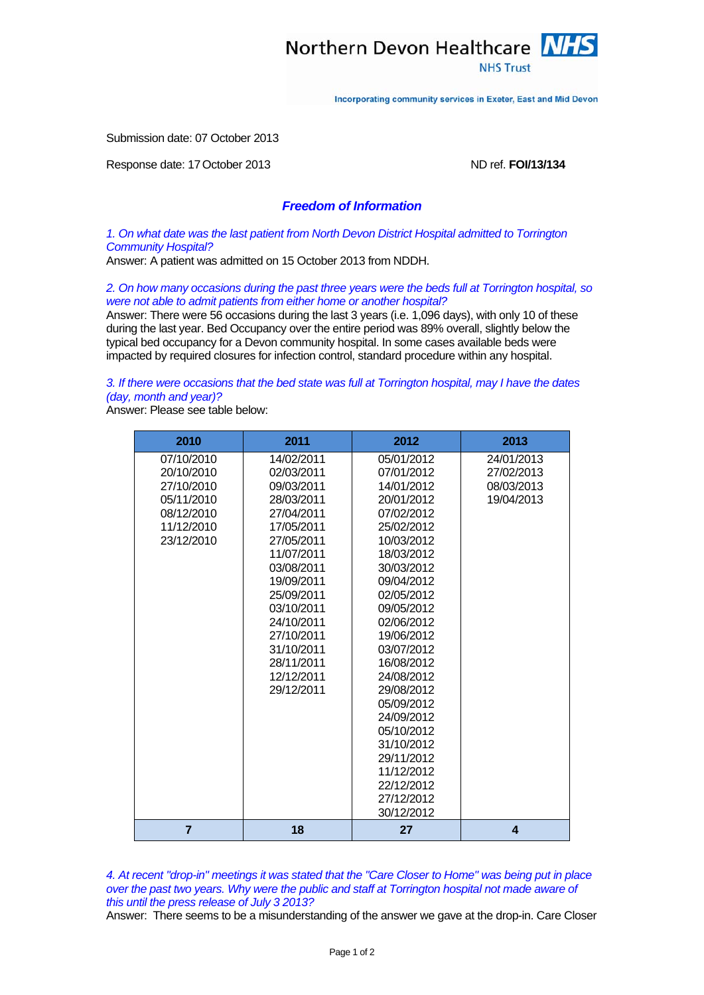

Incorporating community services in Exeter, East and Mid Devon

Submission date: 07 October 2013

Response date: 17 October 2013 **ND ref. <b>FOI/13/134** ND ref. **FOI/13/134** 

## *Freedom of Information*

*1. On what date was the last patient from North Devon District Hospital admitted to Torrington Community Hospital?* 

Answer: A patient was admitted on 15 October 2013 from NDDH.

*2. On how many occasions during the past three years were the beds full at Torrington hospital, so were not able to admit patients from either home or another hospital?* 

Answer: There were 56 occasions during the last 3 years (i.e. 1,096 days), with only 10 of these during the last year. Bed Occupancy over the entire period was 89% overall, slightly below the typical bed occupancy for a Devon community hospital. In some cases available beds were impacted by required closures for infection control, standard procedure within any hospital.

*3. If there were occasions that the bed state was full at Torrington hospital, may I have the dates (day, month and year)?* 

Answer: Please see table below:

| 2010                                                                                           | 2011                                                                                                                                                                                                                                                     | 2012                                                                                                                                                                                                                                                                                                                                                                                   | 2013                                                 |
|------------------------------------------------------------------------------------------------|----------------------------------------------------------------------------------------------------------------------------------------------------------------------------------------------------------------------------------------------------------|----------------------------------------------------------------------------------------------------------------------------------------------------------------------------------------------------------------------------------------------------------------------------------------------------------------------------------------------------------------------------------------|------------------------------------------------------|
| 07/10/2010<br>20/10/2010<br>27/10/2010<br>05/11/2010<br>08/12/2010<br>11/12/2010<br>23/12/2010 | 14/02/2011<br>02/03/2011<br>09/03/2011<br>28/03/2011<br>27/04/2011<br>17/05/2011<br>27/05/2011<br>11/07/2011<br>03/08/2011<br>19/09/2011<br>25/09/2011<br>03/10/2011<br>24/10/2011<br>27/10/2011<br>31/10/2011<br>28/11/2011<br>12/12/2011<br>29/12/2011 | 05/01/2012<br>07/01/2012<br>14/01/2012<br>20/01/2012<br>07/02/2012<br>25/02/2012<br>10/03/2012<br>18/03/2012<br>30/03/2012<br>09/04/2012<br>02/05/2012<br>09/05/2012<br>02/06/2012<br>19/06/2012<br>03/07/2012<br>16/08/2012<br>24/08/2012<br>29/08/2012<br>05/09/2012<br>24/09/2012<br>05/10/2012<br>31/10/2012<br>29/11/2012<br>11/12/2012<br>22/12/2012<br>27/12/2012<br>30/12/2012 | 24/01/2013<br>27/02/2013<br>08/03/2013<br>19/04/2013 |
| $\overline{7}$                                                                                 | 18                                                                                                                                                                                                                                                       | 27                                                                                                                                                                                                                                                                                                                                                                                     | 4                                                    |

*4. At recent "drop-in" meetings it was stated that the "Care Closer to Home" was being put in place over the past two years. Why were the public and staff at Torrington hospital not made aware of this until the press release of July 3 2013?* 

Answer: There seems to be a misunderstanding of the answer we gave at the drop-in. Care Closer